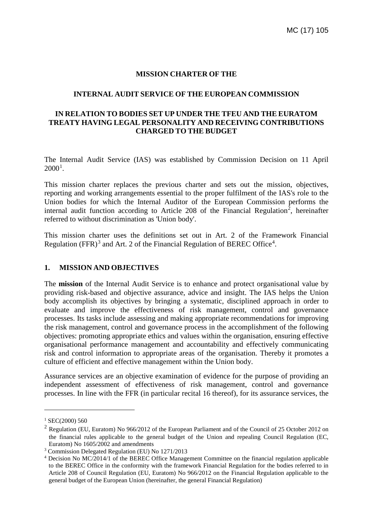### **MISSION CHARTER OF THE**

#### **INTERNAL AUDIT SERVICE OF THE EUROPEAN COMMISSION**

### **IN RELATION TO BODIES SET UP UNDER THE TFEU AND THE EURATOM TREATY HAVING LEGAL PERSONALITY AND RECEIVING CONTRIBUTIONS CHARGED TO THE BUDGET**

The Internal Audit Service (IAS) was established by Commission Decision on 11 April  $2000^1$  $2000^1$ .

This mission charter replaces the previous charter and sets out the mission, objectives, reporting and working arrangements essential to the proper fulfilment of the IAS's role to the Union bodies for which the Internal Auditor of the European Commission performs the internal audit function according to Article [2](#page-0-1)08 of the Financial Regulation<sup>2</sup>, hereinafter referred to without discrimination as 'Union body'.

This mission charter uses the definitions set out in Art. 2 of the Framework Financial Regulation (FFR)<sup>[3](#page-0-2)</sup> and Art. 2 of the Financial Regulation of BEREC Office<sup>[4](#page-0-3)</sup>.

#### **1. MISSION AND OBJECTIVES**

The **mission** of the Internal Audit Service is to enhance and protect organisational value by providing risk-based and objective assurance, advice and insight. The IAS helps the Union body accomplish its objectives by bringing a systematic, disciplined approach in order to evaluate and improve the effectiveness of risk management, control and governance processes. Its tasks include assessing and making appropriate recommendations for improving the risk management, control and governance process in the accomplishment of the following objectives: promoting appropriate ethics and values within the organisation, ensuring effective organisational performance management and accountability and effectively communicating risk and control information to appropriate areas of the organisation. Thereby it promotes a culture of efficient and effective management within the Union body.

Assurance services are an objective examination of evidence for the purpose of providing an independent assessment of effectiveness of risk management, control and governance processes. In line with the FFR (in particular recital 16 thereof), for its assurance services, the

 $\overline{a}$ 

<span id="page-0-0"></span> $1$  SEC(2000) 560

<span id="page-0-1"></span><sup>2</sup> Regulation (EU, Euratom) No 966/2012 of the European Parliament and of the Council of 25 October 2012 on the financial rules applicable to the general budget of the Union and repealing Council Regulation (EC, Euratom) No 1605/2002 and amendments

<span id="page-0-2"></span><sup>3</sup> Commission Delegated Regulation (EU) No 1271/2013

<span id="page-0-3"></span><sup>4</sup> Decision No MC/2014/1 of the BEREC Office Management Committee on the financial regulation applicable to the BEREC Office in the conformity with the framework Financial Regulation for the bodies referred to in Article 208 of Council Regulation (EU, Euratom) No 966/2012 on the Financial Regulation applicable to the general budget of the European Union (hereinafter, the general Financial Regulation)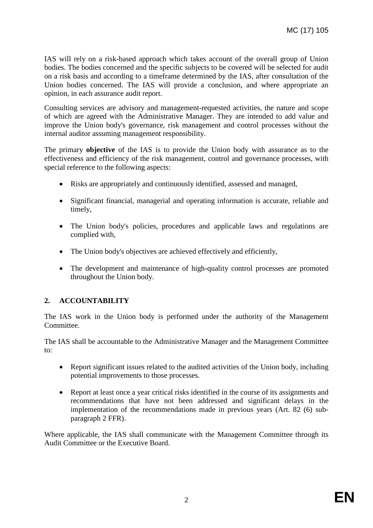IAS will rely on a risk-based approach which takes account of the overall group of Union bodies. The bodies concerned and the specific subjects to be covered will be selected for audit on a risk basis and according to a timeframe determined by the IAS, after consultation of the Union bodies concerned. The IAS will provide a conclusion, and where appropriate an opinion, in each assurance audit report.

Consulting services are advisory and management-requested activities, the nature and scope of which are agreed with the Administrative Manager. They are intended to add value and improve the Union body's governance, risk management and control processes without the internal auditor assuming management responsibility.

The primary **objective** of the IAS is to provide the Union body with assurance as to the effectiveness and efficiency of the risk management, control and governance processes, with special reference to the following aspects:

- Risks are appropriately and continuously identified, assessed and managed,
- Significant financial, managerial and operating information is accurate, reliable and timely,
- The Union body's policies, procedures and applicable laws and regulations are complied with,
- The Union body's objectives are achieved effectively and efficiently,
- The development and maintenance of high-quality control processes are promoted throughout the Union body.

## **2. ACCOUNTABILITY**

The IAS work in the Union body is performed under the authority of the Management Committee.

The IAS shall be accountable to the Administrative Manager and the Management Committee to:

- Report significant issues related to the audited activities of the Union body, including potential improvements to those processes.
- Report at least once a year critical risks identified in the course of its assignments and recommendations that have not been addressed and significant delays in the implementation of the recommendations made in previous years (Art. 82 (6) subparagraph 2 FFR).

Where applicable, the IAS shall communicate with the Management Committee through its Audit Committee or the Executive Board.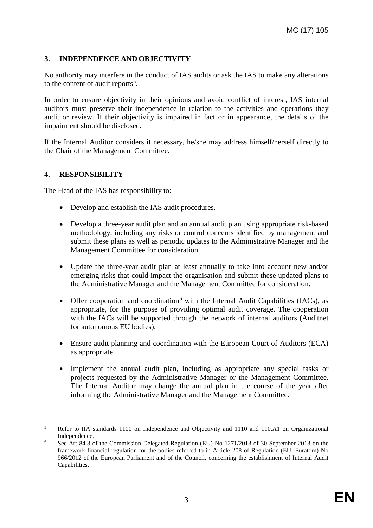# **3. INDEPENDENCE AND OBJECTIVITY**

No authority may interfere in the conduct of IAS audits or ask the IAS to make any alterations to the content of audit reports<sup>[5](#page-2-0)</sup>.

In order to ensure objectivity in their opinions and avoid conflict of interest, IAS internal auditors must preserve their independence in relation to the activities and operations they audit or review. If their objectivity is impaired in fact or in appearance, the details of the impairment should be disclosed.

If the Internal Auditor considers it necessary, he/she may address himself/herself directly to the Chair of the Management Committee.

## **4. RESPONSIBILITY**

 $\overline{a}$ 

The Head of the IAS has responsibility to:

- Develop and establish the IAS audit procedures.
- Develop a three-year audit plan and an annual audit plan using appropriate risk-based methodology, including any risks or control concerns identified by management and submit these plans as well as periodic updates to the Administrative Manager and the Management Committee for consideration.
- Update the three-year audit plan at least annually to take into account new and/or emerging risks that could impact the organisation and submit these updated plans to the Administrative Manager and the Management Committee for consideration.
- Offer cooperation and coordination<sup>[6](#page-2-1)</sup> with the Internal Audit Capabilities (IACs), as appropriate, for the purpose of providing optimal audit coverage. The cooperation with the IACs will be supported through the network of internal auditors (Auditnet for autonomous EU bodies).
- Ensure audit planning and coordination with the European Court of Auditors (ECA) as appropriate.
- Implement the annual audit plan, including as appropriate any special tasks or projects requested by the Administrative Manager or the Management Committee. The Internal Auditor may change the annual plan in the course of the year after informing the Administrative Manager and the Management Committee.

<span id="page-2-0"></span><sup>&</sup>lt;sup>5</sup> Refer to IIA standards 1100 on Independence and Objectivity and 1110 and 110.A1 on Organizational Independence.

<span id="page-2-1"></span><sup>6</sup> See Art 84.3 of the Commission Delegated Regulation (EU) No 1271/2013 of 30 September 2013 on the framework financial regulation for the bodies referred to in Article 208 of Regulation (EU, Euratom) No 966/2012 of the European Parliament and of the Council, concerning the establishment of Internal Audit Capabilities.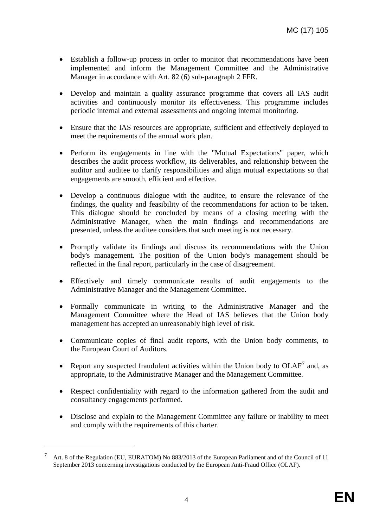- Establish a follow-up process in order to monitor that recommendations have been implemented and inform the Management Committee and the Administrative Manager in accordance with Art. 82 (6) sub-paragraph 2 FFR.
- Develop and maintain a quality assurance programme that covers all IAS audit activities and continuously monitor its effectiveness. This programme includes periodic internal and external assessments and ongoing internal monitoring.
- Ensure that the IAS resources are appropriate, sufficient and effectively deployed to meet the requirements of the annual work plan.
- Perform its engagements in line with the "Mutual Expectations" paper, which describes the audit process workflow, its deliverables, and relationship between the auditor and auditee to clarify responsibilities and align mutual expectations so that engagements are smooth, efficient and effective.
- Develop a continuous dialogue with the auditee, to ensure the relevance of the findings, the quality and feasibility of the recommendations for action to be taken. This dialogue should be concluded by means of a closing meeting with the Administrative Manager, when the main findings and recommendations are presented, unless the auditee considers that such meeting is not necessary.
- Promptly validate its findings and discuss its recommendations with the Union body's management. The position of the Union body's management should be reflected in the final report, particularly in the case of disagreement.
- Effectively and timely communicate results of audit engagements to the Administrative Manager and the Management Committee.
- Formally communicate in writing to the Administrative Manager and the Management Committee where the Head of IAS believes that the Union body management has accepted an unreasonably high level of risk.
- Communicate copies of final audit reports, with the Union body comments, to the European Court of Auditors.
- Report any suspected fraudulent activities within the Union body to  $OLAF<sup>7</sup>$  $OLAF<sup>7</sup>$  $OLAF<sup>7</sup>$  and, as appropriate, to the Administrative Manager and the Management Committee.
- Respect confidentiality with regard to the information gathered from the audit and consultancy engagements performed.
- Disclose and explain to the Management Committee any failure or inability to meet and comply with the requirements of this charter.

 $\overline{a}$ 

<span id="page-3-0"></span><sup>7</sup> Art. 8 of the Regulation (EU, EURATOM) No 883/2013 of the European Parliament and of the Council of 11 September 2013 concerning investigations conducted by the European Anti-Fraud Office (OLAF).